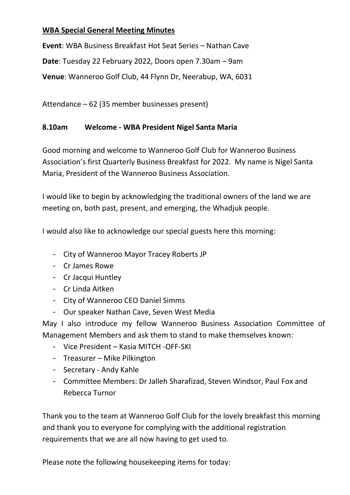### **WBA Special General Meeting Minutes**

**Event**: WBA Business Breakfast Hot Seat Series – Nathan Cave **Date**: Tuesday 22 February 2022, Doors open 7.30am – 9am **Venue**: Wanneroo Golf Club, 44 Flynn Dr, Neerabup, WA, 6031

Attendance – 62 (35 member businesses present)

#### **8.10am Welcome - WBA President Nigel Santa Maria**

Good morning and welcome to Wanneroo Golf Club for Wanneroo Business Association's first Quarterly Business Breakfast for 2022. My name is Nigel Santa Maria, President of the Wanneroo Business Association.

I would like to begin by acknowledging the traditional owners of the land we are meeting on, both past, present, and emerging, the Whadjuk people.

I would also like to acknowledge our special guests here this morning:

- City of Wanneroo Mayor Tracey Roberts JP
- Cr James Rowe
- Cr Jacqui Huntley
- Cr Linda Aitken
- City of Wanneroo CEO Daniel Simms
- Our speaker Nathan Cave, Seven West Media

May I also introduce my fellow Wanneroo Business Association Committee of Management Members and ask them to stand to make themselves known:

- Vice President Kasia MITCH -OFF-SKI
- Treasurer Mike Pilkington
- Secretary Andy Kahle
- Committee Members: Dr Jalleh Sharafizad, Steven Windsor, Paul Fox and Rebecca Turnor

Thank you to the team at Wanneroo Golf Club for the lovely breakfast this morning and thank you to everyone for complying with the additional registration requirements that we are all now having to get used to.

Please note the following housekeeping items for today: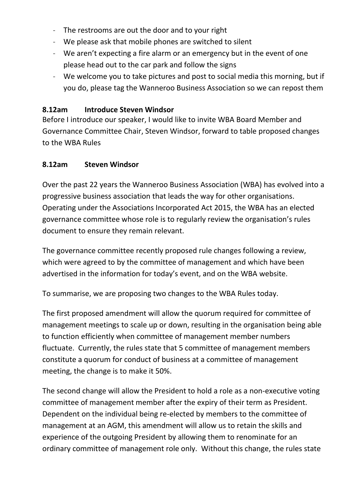- The restrooms are out the door and to your right
- We please ask that mobile phones are switched to silent
- We aren't expecting a fire alarm or an emergency but in the event of one please head out to the car park and follow the signs
- We welcome you to take pictures and post to social media this morning, but if you do, please tag the Wanneroo Business Association so we can repost them

### **8.12am Introduce Steven Windsor**

Before I introduce our speaker, I would like to invite WBA Board Member and Governance Committee Chair, Steven Windsor, forward to table proposed changes to the WBA Rules

### **8.12am Steven Windsor**

Over the past 22 years the Wanneroo Business Association (WBA) has evolved into a progressive business association that leads the way for other organisations. Operating under the Associations Incorporated Act 2015, the WBA has an elected governance committee whose role is to regularly review the organisation's rules document to ensure they remain relevant.

The governance committee recently proposed rule changes following a review, which were agreed to by the committee of management and which have been advertised in the information for today's event, and on the WBA website.

To summarise, we are proposing two changes to the WBA Rules today.

The first proposed amendment will allow the quorum required for committee of management meetings to scale up or down, resulting in the organisation being able to function efficiently when committee of management member numbers fluctuate. Currently, the rules state that 5 committee of management members constitute a quorum for conduct of business at a committee of management meeting, the change is to make it 50%.

The second change will allow the President to hold a role as a non-executive voting committee of management member after the expiry of their term as President. Dependent on the individual being re-elected by members to the committee of management at an AGM, this amendment will allow us to retain the skills and experience of the outgoing President by allowing them to renominate for an ordinary committee of management role only. Without this change, the rules state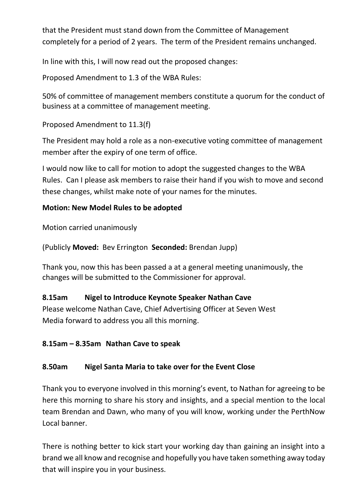that the President must stand down from the Committee of Management completely for a period of 2 years. The term of the President remains unchanged.

In line with this, I will now read out the proposed changes:

Proposed Amendment to 1.3 of the WBA Rules:

50% of committee of management members constitute a quorum for the conduct of business at a committee of management meeting.

Proposed Amendment to 11.3(f)

The President may hold a role as a non-executive voting committee of management member after the expiry of one term of office.

I would now like to call for motion to adopt the suggested changes to the WBA Rules. Can I please ask members to raise their hand if you wish to move and second these changes, whilst make note of your names for the minutes.

## **Motion: New Model Rules to be adopted**

Motion carried unanimously

(Publicly **Moved:** Bev Errington **Seconded:** Brendan Jupp)

Thank you, now this has been passed a at a general meeting unanimously, the changes will be submitted to the Commissioner for approval.

# **8.15am Nigel to Introduce Keynote Speaker Nathan Cave**

Please welcome Nathan Cave, Chief Advertising Officer at [Seven West](https://www.sevenwestmedia.com.au/)  [Media](https://www.sevenwestmedia.com.au/) forward to address you all this morning.

# **8.15am – 8.35am Nathan Cave to speak**

# **8.50am Nigel Santa Maria to take over for the Event Close**

Thank you to everyone involved in this morning's event, to Nathan for agreeing to be here this morning to share his story and insights, and a special mention to the local team Brendan and Dawn, who many of you will know, working under the PerthNow Local banner.

There is nothing better to kick start your working day than gaining an insight into a brand we all know and recognise and hopefully you have taken something away today that will inspire you in your business.